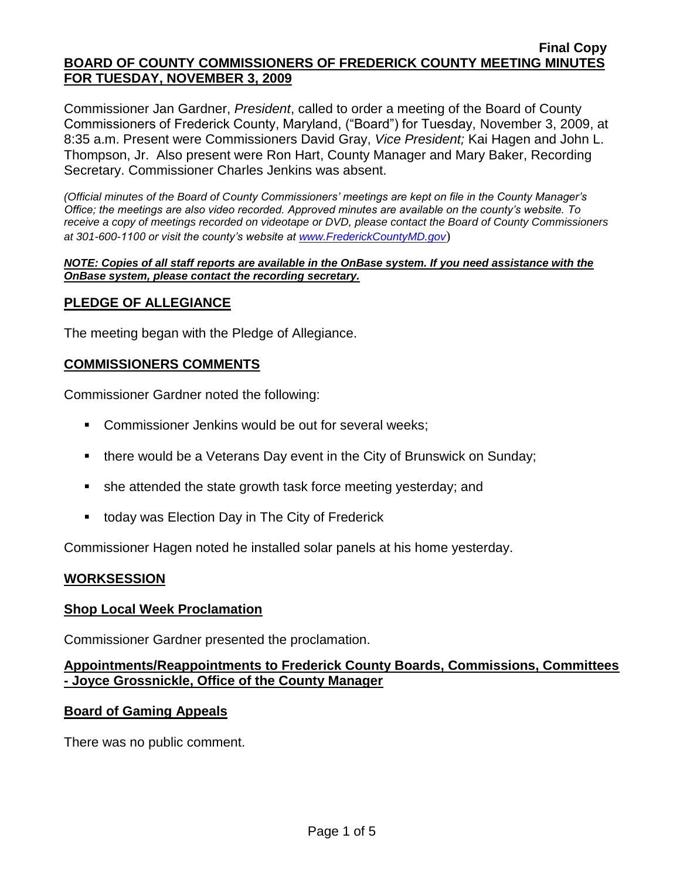Commissioner Jan Gardner, *President*, called to order a meeting of the Board of County Commissioners of Frederick County, Maryland, ("Board") for Tuesday, November 3, 2009, at 8:35 a.m. Present were Commissioners David Gray, *Vice President;* Kai Hagen and John L. Thompson, Jr. Also present were Ron Hart, County Manager and Mary Baker, Recording Secretary. Commissioner Charles Jenkins was absent.

*(Official minutes of the Board of County Commissioners' meetings are kept on file in the County Manager's Office; the meetings are also video recorded. Approved minutes are available on the county's website. To receive a copy of meetings recorded on videotape or DVD, please contact the Board of County Commissioners at 301-600-1100 or visit the county's website at [www.FrederickCountyMD.gov](http://www.frederickcountymd.gov/)*)

#### *NOTE: Copies of all staff reports are available in the OnBase system. If you need assistance with the OnBase system, please contact the recording secretary.*

## **PLEDGE OF ALLEGIANCE**

The meeting began with the Pledge of Allegiance.

## **COMMISSIONERS COMMENTS**

Commissioner Gardner noted the following:

- **Commissioner Jenkins would be out for several weeks;**
- **there would be a Veterans Day event in the City of Brunswick on Sunday;**
- she attended the state growth task force meeting yesterday; and
- today was Election Day in The City of Frederick

Commissioner Hagen noted he installed solar panels at his home yesterday.

## **WORKSESSION**

## **Shop Local Week Proclamation**

Commissioner Gardner presented the proclamation.

## **Appointments/Reappointments to Frederick County Boards, Commissions, Committees - Joyce Grossnickle, Office of the County Manager**

## **Board of Gaming Appeals**

There was no public comment.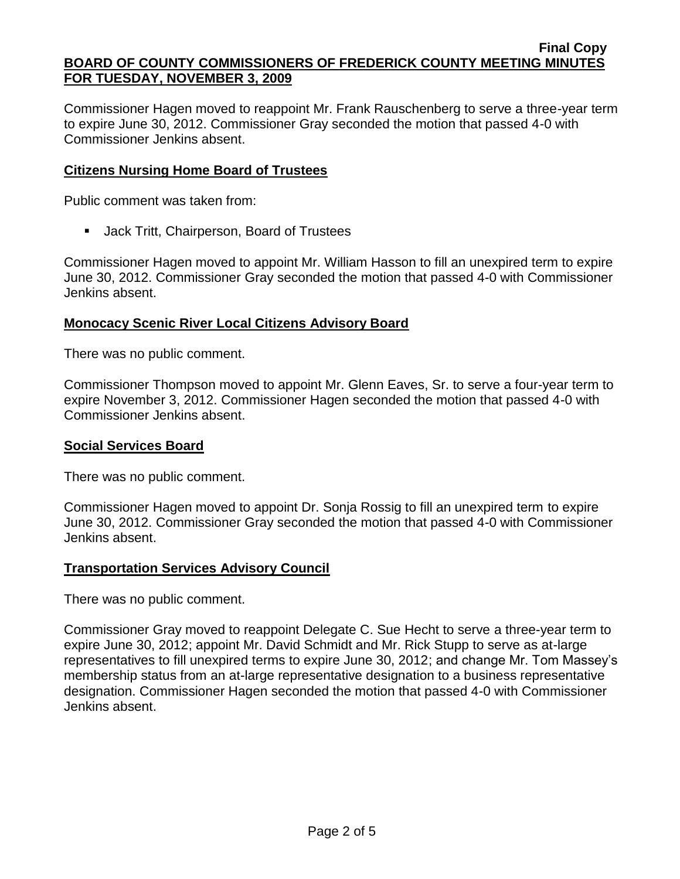Commissioner Hagen moved to reappoint Mr. Frank Rauschenberg to serve a three-year term to expire June 30, 2012. Commissioner Gray seconded the motion that passed 4-0 with Commissioner Jenkins absent.

## **Citizens Nursing Home Board of Trustees**

Public comment was taken from:

Jack Tritt, Chairperson, Board of Trustees

Commissioner Hagen moved to appoint Mr. William Hasson to fill an unexpired term to expire June 30, 2012. Commissioner Gray seconded the motion that passed 4-0 with Commissioner Jenkins absent.

# **Monocacy Scenic River Local Citizens Advisory Board**

There was no public comment.

Commissioner Thompson moved to appoint Mr. Glenn Eaves, Sr. to serve a four-year term to expire November 3, 2012. Commissioner Hagen seconded the motion that passed 4-0 with Commissioner Jenkins absent.

## **Social Services Board**

There was no public comment.

Commissioner Hagen moved to appoint Dr. Sonja Rossig to fill an unexpired term to expire June 30, 2012. Commissioner Gray seconded the motion that passed 4-0 with Commissioner Jenkins absent.

## **Transportation Services Advisory Council**

There was no public comment.

Commissioner Gray moved to reappoint Delegate C. Sue Hecht to serve a three-year term to expire June 30, 2012; appoint Mr. David Schmidt and Mr. Rick Stupp to serve as at-large representatives to fill unexpired terms to expire June 30, 2012; and change Mr. Tom Massey's membership status from an at-large representative designation to a business representative designation. Commissioner Hagen seconded the motion that passed 4-0 with Commissioner Jenkins absent.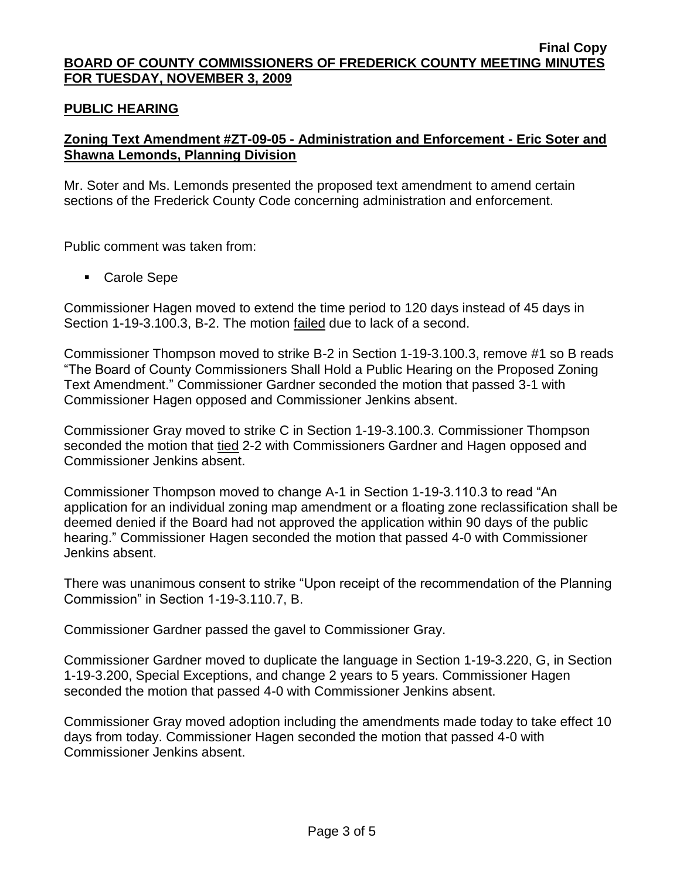## **PUBLIC HEARING**

# **Zoning Text Amendment #ZT-09-05 - Administration and Enforcement - Eric Soter and Shawna Lemonds, Planning Division**

Mr. Soter and Ms. Lemonds presented the proposed text amendment to amend certain sections of the Frederick County Code concerning administration and enforcement.

Public comment was taken from:

■ Carole Sepe

Commissioner Hagen moved to extend the time period to 120 days instead of 45 days in Section 1-19-3.100.3, B-2. The motion failed due to lack of a second.

Commissioner Thompson moved to strike B-2 in Section 1-19-3.100.3, remove #1 so B reads "The Board of County Commissioners Shall Hold a Public Hearing on the Proposed Zoning Text Amendment." Commissioner Gardner seconded the motion that passed 3-1 with Commissioner Hagen opposed and Commissioner Jenkins absent.

Commissioner Gray moved to strike C in Section 1-19-3.100.3. Commissioner Thompson seconded the motion that tied 2-2 with Commissioners Gardner and Hagen opposed and Commissioner Jenkins absent.

Commissioner Thompson moved to change A-1 in Section 1-19-3.110.3 to read "An application for an individual zoning map amendment or a floating zone reclassification shall be deemed denied if the Board had not approved the application within 90 days of the public hearing." Commissioner Hagen seconded the motion that passed 4-0 with Commissioner Jenkins absent.

There was unanimous consent to strike "Upon receipt of the recommendation of the Planning Commission" in Section 1-19-3.110.7, B.

Commissioner Gardner passed the gavel to Commissioner Gray.

Commissioner Gardner moved to duplicate the language in Section 1-19-3.220, G, in Section 1-19-3.200, Special Exceptions, and change 2 years to 5 years. Commissioner Hagen seconded the motion that passed 4-0 with Commissioner Jenkins absent.

Commissioner Gray moved adoption including the amendments made today to take effect 10 days from today. Commissioner Hagen seconded the motion that passed 4-0 with Commissioner Jenkins absent.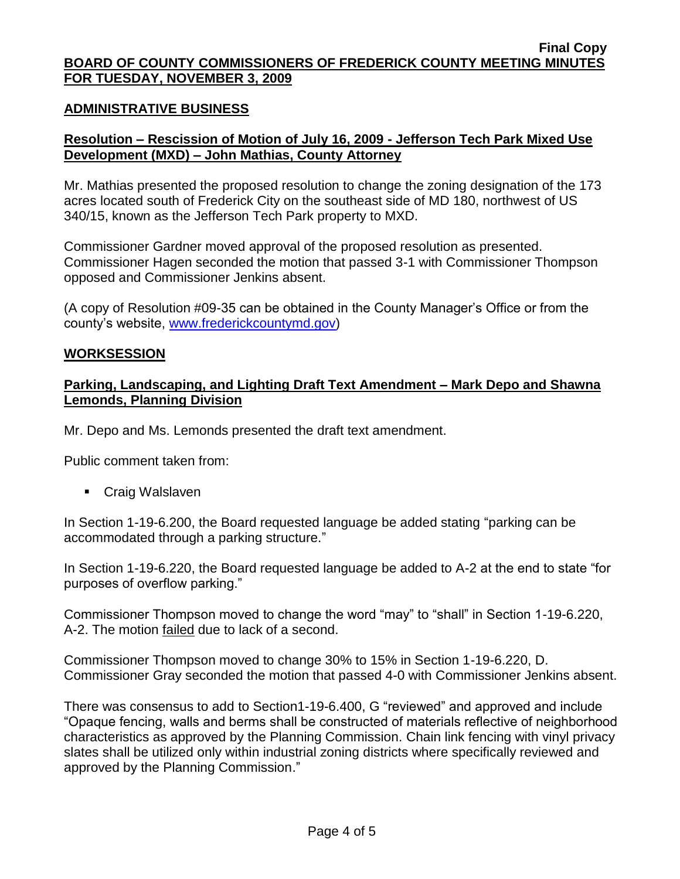### **ADMINISTRATIVE BUSINESS**

## **Resolution – Rescission of Motion of July 16, 2009 - Jefferson Tech Park Mixed Use Development (MXD) – John Mathias, County Attorney**

Mr. Mathias presented the proposed resolution to change the zoning designation of the 173 acres located south of Frederick City on the southeast side of MD 180, northwest of US 340/15, known as the Jefferson Tech Park property to MXD.

Commissioner Gardner moved approval of the proposed resolution as presented. Commissioner Hagen seconded the motion that passed 3-1 with Commissioner Thompson opposed and Commissioner Jenkins absent.

(A copy of Resolution #09-35 can be obtained in the County Manager's Office or from the county's website, [www.frederickcountymd.gov\)](file:\\NT1S5\BOCC\BOCC\BOCC%20Minutes\Mary)

#### **WORKSESSION**

### **Parking, Landscaping, and Lighting Draft Text Amendment – Mark Depo and Shawna Lemonds, Planning Division**

Mr. Depo and Ms. Lemonds presented the draft text amendment.

Public comment taken from:

■ Craig Walslaven

In Section 1-19-6.200, the Board requested language be added stating "parking can be accommodated through a parking structure."

In Section 1-19-6.220, the Board requested language be added to A-2 at the end to state "for purposes of overflow parking."

Commissioner Thompson moved to change the word "may" to "shall" in Section 1-19-6.220, A-2. The motion failed due to lack of a second.

Commissioner Thompson moved to change 30% to 15% in Section 1-19-6.220, D. Commissioner Gray seconded the motion that passed 4-0 with Commissioner Jenkins absent.

There was consensus to add to Section1-19-6.400, G "reviewed" and approved and include "Opaque fencing, walls and berms shall be constructed of materials reflective of neighborhood characteristics as approved by the Planning Commission. Chain link fencing with vinyl privacy slates shall be utilized only within industrial zoning districts where specifically reviewed and approved by the Planning Commission."